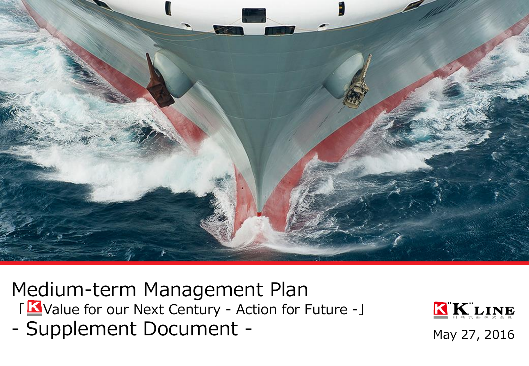

Medium-term Management Plan 「KN Value for our Next Century - Action for Future -」 - Supplement Document - May 27, 2016

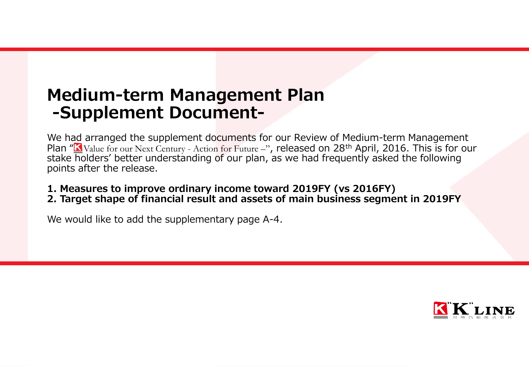## Medium-term Management Plan -Supplement Document-

We had arranged the supplement documents for our Review of Medium-term Management Plan " $K$ Value for our Next Century - Action for Future –", released on 28<sup>th</sup> April, 2016. This is for our stake holders' better understanding of our plan, as we had frequently asked the following points after the release.

1. Measures to improve ordinary income toward 2019FY (vs 2016FY) 2. Target shape of financial result and assets of main business segment in 2019FY

We would like to add the supplementary page A-4.

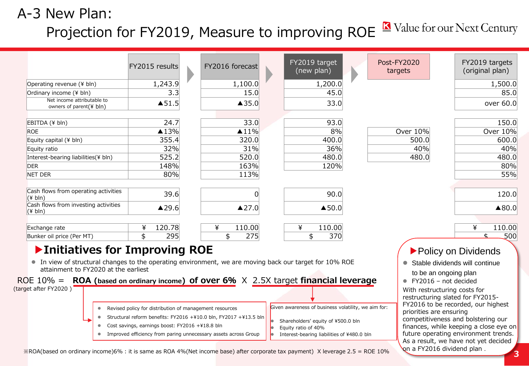## A-3 New Plan: Projection for FY2019, Measure to improving ROE No Value for our Next Century

|                                                                                                                                                 | FY2015 results                                          | FY2016 forecast                                                  | FY2019 target<br>(new plan)                         | <b>Post-FY2020</b><br>targets |                         | FY2019 targets<br>(original plan)                                  |
|-------------------------------------------------------------------------------------------------------------------------------------------------|---------------------------------------------------------|------------------------------------------------------------------|-----------------------------------------------------|-------------------------------|-------------------------|--------------------------------------------------------------------|
| Operating revenue (¥ bln)                                                                                                                       | 1,243.9                                                 | 1,100.0                                                          | 1,200.0                                             |                               |                         | 1,500.0                                                            |
| Ordinary income (¥ bln)                                                                                                                         | 3.3                                                     | 15.0                                                             | 45.0                                                |                               |                         | 85.0                                                               |
| Net income attributable to<br>owners of parent(¥ bln)                                                                                           | $\blacktriangle$ 51.5                                   | ▲35.0                                                            | 33.0                                                |                               |                         | over 60.0                                                          |
| EBITDA (¥ bln)                                                                                                                                  | 24.7                                                    | 33.0                                                             | 93.0                                                |                               |                         | 150.0                                                              |
| <b>ROE</b>                                                                                                                                      | $\triangle$ 13%                                         | $\triangle 11\%$                                                 | 8%                                                  | Over 10%                      |                         | Over 10%                                                           |
| Equity capital (¥ bln)                                                                                                                          | 355.4                                                   | 320.0                                                            | 400.0                                               | 500.0                         |                         | 600.0                                                              |
| Equity ratio                                                                                                                                    | 32%                                                     | 31%                                                              | 36%                                                 | 40%                           |                         | 40%                                                                |
| Interest-bearing liabilities(¥ bln)                                                                                                             | 525.2                                                   | 520.0                                                            | 480.0                                               | 480.0                         |                         | 480.0                                                              |
| <b>DER</b>                                                                                                                                      | 148%                                                    | 163%                                                             | 120%                                                |                               |                         | 80%                                                                |
| NET DER                                                                                                                                         | 80%                                                     | 113%                                                             |                                                     |                               |                         | 55%                                                                |
| Cash flows from operating activities<br>$(\frac{4}{1})$                                                                                         | 39.6                                                    | 0                                                                | 90.0                                                |                               |                         | 120.0                                                              |
| Cash flows from investing activities<br>$(\frac{4}{3}$ bln)                                                                                     | ▲29.6                                                   | ▲27.0                                                            | $\blacktriangle$ 50.0                               |                               |                         | ▲80.0                                                              |
| Exchange rate                                                                                                                                   | 120.78<br>¥                                             | 110.00<br>¥                                                      | 110.00<br>¥                                         |                               |                         | ¥<br>110.00                                                        |
| Bunker oil price (Per MT)                                                                                                                       | \$<br>295                                               | \$<br>275                                                        | \$<br>370                                           |                               |                         | 500                                                                |
| ▶ Initiatives for Improving ROE                                                                                                                 |                                                         |                                                                  |                                                     |                               |                         | Policy on Dividends                                                |
| • In view of structural changes to the operating environment, we are moving back our target for 10% ROE<br>attainment to FY2020 at the earliest |                                                         |                                                                  |                                                     |                               |                         | • Stable dividends will continue                                   |
|                                                                                                                                                 |                                                         |                                                                  |                                                     |                               | to be an ongoing plan   |                                                                    |
| ROE 10% = ROA (based on ordinary income) of over 6% $\times$ 2.5X target financial leverage<br>(target after FY2020)                            |                                                         |                                                                  |                                                     |                               | ● FY2016 - not decided  |                                                                    |
|                                                                                                                                                 |                                                         |                                                                  |                                                     |                               |                         | With restructuring costs for<br>restructuring slated for FY2015-   |
|                                                                                                                                                 | Revised policy for distribution of management resources |                                                                  | Given awareness of business volatility, we aim for: |                               | priorities are ensuring | FY2016 to be recorded, our highest                                 |
| $\bullet$                                                                                                                                       |                                                         | Structural reform benefits: FY2016 +¥10.0 bln, FY2017 +¥13.5 bln | Shareholders' equity of ¥500.0 bln                  |                               |                         | competitiveness and bolstering our                                 |
| $\bullet$                                                                                                                                       | Cost savings, earnings boost: FY2016 +¥18.8 bln         |                                                                  | Equity ratio of 40%                                 |                               |                         | finances, while keeping a close eye on                             |
|                                                                                                                                                 |                                                         | Improved efficiency from paring unnecessary assets across Group  | Interest-bearing liabilities of ¥480.0 bln          |                               |                         | future operating environment trends.                               |
|                                                                                                                                                 |                                                         |                                                                  |                                                     |                               |                         | As a result, we have not yet decided<br>on a FY2016 dividend plan. |

3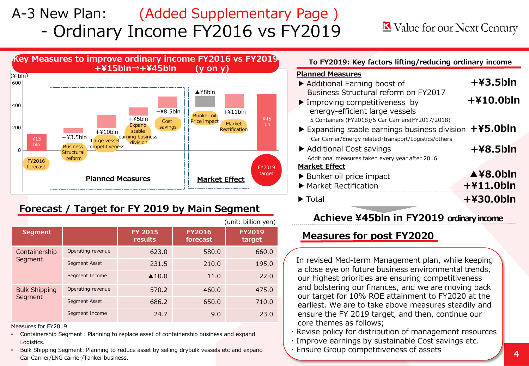## A-3 New Plan: (Added Supplementary Page ) - Ordinary Income FY2016 vs FY2019

### Value for our Next Century



#### Forecast / Target for FY 2019 by Main Segment

|                                 | (unit: billion yen) |                           |                           |                         |  |  |  |
|---------------------------------|---------------------|---------------------------|---------------------------|-------------------------|--|--|--|
| <b>Segment</b>                  |                     | <b>FY 2015</b><br>results | <b>FY2016</b><br>forecast | <b>FY2019</b><br>target |  |  |  |
| Containership<br>Segment        | Operating revenue   | 623.0                     | 580.0                     | 660.0                   |  |  |  |
|                                 | Segment Asset       | 231.5                     | 210.0                     | 195.0                   |  |  |  |
|                                 | Segment Income      | $\triangle$ 10.0          | 11.0                      | 22.0                    |  |  |  |
| <b>Bulk Shipping</b><br>Segment | Operating revenue   | 570.2                     | 460.0                     | 475.0                   |  |  |  |
|                                 | Segment Asset       | 686.2                     | 650.0                     | 710.0                   |  |  |  |
|                                 | Segment Income      | 24.7                      | 9.0                       | 23.0                    |  |  |  |

Measures for FY2019

- Containership Segment: Planning to replace asset of containership business and expand Logistics.
- Bulk Shipping Segment: Planning to reduce asset by selling drybulk vessels etc and expand Car Carrier/LNG carrier/Tanker business.

| To FY2019: Key factors lifting/reducing ordinary income |             |  |  |  |  |
|---------------------------------------------------------|-------------|--|--|--|--|
| <b>Planned Measures</b>                                 |             |  |  |  |  |
| Additional Earning boost of                             | $+43.5$ bln |  |  |  |  |
| Business Structural reform on FY2017                    |             |  |  |  |  |

#### +¥10.0bln  $\blacktriangleright$  Improving competitiveness by energy-efficient large vessels 5 Containers (FY2018)/5 Car Carriers(FY2017/2018) ▶ Expanding stable earnings business division +¥5.0bln Car Carrier/Energy related・transport/Logistics/others ▶ Additional Cost savings +¥8.5bln Additional measures taken every year after 2016 Market Effect

- ▲¥8.0bln ▶ Market Rectification ▶ Bunker oil price impact +¥11.0bln
- ▶ Total +¥30.0bln
- 

#### Achieve ¥45bln in FY2019 ordinary income

#### Measures for post FY2020

In revised Med-term Management plan, while keeping a close eye on future business environmental trends, our highest priorities are ensuring competitiveness and bolstering our finances, and we are moving back our target for 10% ROE attainment to FY2020 at the earliest. We are to take above measures steadily and ensure the FY 2019 target, and then, continue our core themes as follows;

- ・Revise policy for distribution of management resources
- ・Improve earnings by sustainable Cost savings etc.
- Ensure Group competitiveness of assets  $\sqrt{4/4}$